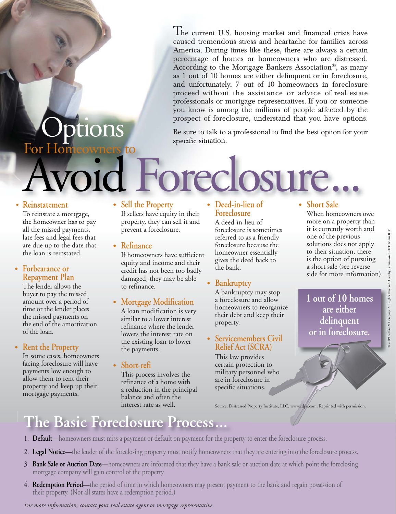The current U.S. housing market and financial crisis have caused tremendous stress and heartache for families across America. During times like these, there are always a certain percentage of homes or homeowners who are distressed. According to the Mortgage Bankers Association®, as many as 1 out of 10 homes are either delinquent or in foreclosure, and unfortunately, 7 out of 10 homeowners in foreclosure proceed without the assistance or advice of real estate professionals or mortgage representatives. If you or someone you know is among the millions of people affected by the prospect of foreclosure, understand that you have options.

# For Homeowners to ptions

Be sure to talk to a professional to find the best option for your specific situation.

# Foreclosure. **• Short Sale**

#### **• Reinstatement**

To reinstate a mortgage, the homeowner has to pay all the missed payments, late fees and legal fees that are due up to the date that the loan is reinstated.

#### **• Forbearance or Repayment Plan**

The lender allows the buyer to pay the missed amount over a period of time or the lender places the missed payments on the end of the amortization of the loan.

#### **• Rent the Property**

In some cases, homeowners facing foreclosure will have payments low enough to allow them to rent their property and keep up their mortgage payments.

#### **• Sell the Property**

If sellers have equity in their property, they can sell it and prevent a foreclosure.

- **Refinance**
	- If homeowners have sufficient equity and income and their credit has not been too badly damaged, they may be able to refinance.
- **Mortgage Modification**

A loan modification is very similar to a lower interest refinance where the lender lowers the interest rate on the existing loan to lower the payments.

**• Short-refi**

This process involves the refinance of a home with a reduction in the principal balance and often the interest rate as well.

#### **• Deed-in-lieu of Foreclosure**

A deed-in-lieu of foreclosure is sometimes referred to as a friendly foreclosure because the homeowner essentially gives the deed back to the bank.

#### **• Bankruptcy**

A bankruptcy may stop a foreclosure and allow homeowners to reorganize their debt and keep their property.

#### **• Servicemembers Civil Relief Act (SCRA)**

This law provides certain protection to military personnel who are in foreclosure in specific situations.

#### Source: Distressed Property Institute, LLC, www.cdpe.com. Reprinted with permission.

When homeowners owe more on a property than it is currently worth and one of the previous solutions does not apply to their situation, there is the option of pursuing a short sale (see reverse side for more information).

**1 out of 10 homes are either delinquent or in foreclosure.**

## **The Basic Foreclosure Process...**

- 1. **Default**—homeowners must miss a payment or default on payment for the property to enter the foreclosure process.
- 2. **Legal Notice**—the lender of the foreclosing property must notify homeowners that they are entering into the foreclosure process.
- 3. **Bank Sale or Auction Date**—homeowners are informed that they have a bank sale or auction date at which point the foreclosing mortgage company will gain control of the property.
- 4. **Redemption Period**—the period of time in which homeowners may present payment to the bank and regain possession of their property. (Not all states have a redemption period.)

*For more information, contact your real estate agent or mortgage representative.*